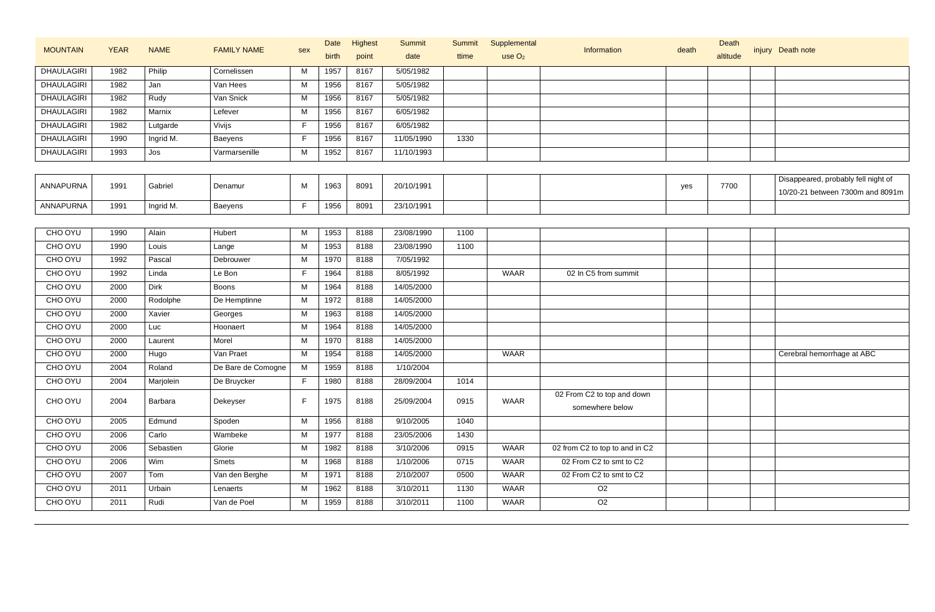|                   | <b>YEAR</b> |             |                    |              | Date  | Highest | <b>Summit</b> | <b>Summit</b> | Supplemental       |                                |       | Death    |                                     |
|-------------------|-------------|-------------|--------------------|--------------|-------|---------|---------------|---------------|--------------------|--------------------------------|-------|----------|-------------------------------------|
| <b>MOUNTAIN</b>   |             | <b>NAME</b> | <b>FAMILY NAME</b> | sex          | birth | point   | date          | ttime         | use O <sub>2</sub> | Information                    | death | altitude | injury Death note                   |
| DHAULAGIRI        | 1982        | Philip      | Cornelissen        | М            | 1957  | 8167    | 5/05/1982     |               |                    |                                |       |          |                                     |
| <b>DHAULAGIRI</b> | 1982        | Jan         | Van Hees           | M            | 1956  | 8167    | 5/05/1982     |               |                    |                                |       |          |                                     |
| <b>DHAULAGIRI</b> | 1982        | Rudy        | Van Snick          | М            | 1956  | 8167    | 5/05/1982     |               |                    |                                |       |          |                                     |
| <b>DHAULAGIRI</b> | 1982        | Marnix      | Lefever            | M            | 1956  | 8167    | 6/05/1982     |               |                    |                                |       |          |                                     |
| <b>DHAULAGIRI</b> | 1982        | Lutgarde    | Vivijs             | $\mathsf{F}$ | 1956  | 8167    | 6/05/1982     |               |                    |                                |       |          |                                     |
| <b>DHAULAGIRI</b> | 1990        | Ingrid M.   | Baeyens            | F            | 1956  | 8167    | 11/05/1990    | 1330          |                    |                                |       |          |                                     |
| <b>DHAULAGIRI</b> | 1993        | Jos         | Varmarsenille      | M            | 1952  | 8167    | 11/10/1993    |               |                    |                                |       |          |                                     |
|                   |             |             |                    |              |       |         |               |               |                    |                                |       |          |                                     |
| ANNAPURNA         | 1991        | Gabriel     | Denamur            | м            | 1963  | 8091    | 20/10/1991    |               |                    |                                | yes   | 7700     | Disappeared, probably fell night of |
|                   |             |             |                    |              |       |         |               |               |                    |                                |       |          | 10/20-21 between 7300m and 8091m    |
| ANNAPURNA         | 1991        | Ingrid M.   | Baeyens            | F            | 1956  | 8091    | 23/10/1991    |               |                    |                                |       |          |                                     |
|                   |             |             |                    |              |       |         |               |               |                    |                                |       |          |                                     |
| CHO OYU           | 1990        | Alain       | Hubert             | М            | 1953  | 8188    | 23/08/1990    | 1100          |                    |                                |       |          |                                     |
| CHO OYU           | 1990        | Louis       | Lange              | M            | 1953  | 8188    | 23/08/1990    | 1100          |                    |                                |       |          |                                     |
| CHO OYU           | 1992        | Pascal      | Debrouwer          | М            | 1970  | 8188    | 7/05/1992     |               |                    |                                |       |          |                                     |
| CHO OYU           | 1992        | Linda       | Le Bon             | $\mathsf{F}$ | 1964  | 8188    | 8/05/1992     |               | <b>WAAR</b>        | 02 In C5 from summit           |       |          |                                     |
| CHO OYU           | 2000        | <b>Dirk</b> | <b>Boons</b>       | M            | 1964  | 8188    | 14/05/2000    |               |                    |                                |       |          |                                     |
| CHO OYU           | 2000        | Rodolphe    | De Hemptinne       | М            | 1972  | 8188    | 14/05/2000    |               |                    |                                |       |          |                                     |
| CHO OYU           | 2000        | Xavier      | Georges            | М            | 1963  | 8188    | 14/05/2000    |               |                    |                                |       |          |                                     |
| CHO OYU           | 2000        | Luc         | Hoonaert           | M            | 1964  | 8188    | 14/05/2000    |               |                    |                                |       |          |                                     |
| CHO OYU           | 2000        | Laurent     | Morel              | M            | 1970  | 8188    | 14/05/2000    |               |                    |                                |       |          |                                     |
| CHO OYU           | 2000        | Hugo        | Van Praet          | M            | 1954  | 8188    | 14/05/2000    |               | <b>WAAR</b>        |                                |       |          | Cerebral hemorrhage at ABC          |
| CHO OYU           | 2004        | Roland      | De Bare de Comogne | M            | 1959  | 8188    | 1/10/2004     |               |                    |                                |       |          |                                     |
| CHO OYU           | 2004        | Marjolein   | De Bruycker        | F.           | 1980  | 8188    | 28/09/2004    | 1014          |                    |                                |       |          |                                     |
| CHO OYU           | 2004        | Barbara     | Dekeyser           | F            | 1975  | 8188    | 25/09/2004    | 0915          | <b>WAAR</b>        | 02 From C2 to top and down     |       |          |                                     |
|                   |             |             |                    |              |       |         |               |               |                    | somewhere below                |       |          |                                     |
| CHO OYU           | 2005        | Edmund      | Spoden             | M            | 1956  | 8188    | 9/10/2005     | 1040          |                    |                                |       |          |                                     |
| CHO OYU           | 2006        | Carlo       | Wambeke            | М            | 1977  | 8188    | 23/05/2006    | 1430          |                    |                                |       |          |                                     |
| CHO OYU           | 2006        | Sebastien   | Glorie             | M            | 1982  | 8188    | 3/10/2006     | 0915          | <b>WAAR</b>        | 02 from C2 to top to and in C2 |       |          |                                     |
| CHO OYU           | 2006        | Wim         | Smets              | M            | 1968  | 8188    | 1/10/2006     | 0715          | <b>WAAR</b>        | 02 From C2 to smt to C2        |       |          |                                     |
| CHO OYU           | 2007        | Tom         | Van den Berghe     | M            | 1971  | 8188    | 2/10/2007     | 0500          | <b>WAAR</b>        | 02 From C2 to smt to C2        |       |          |                                     |
| CHO OYU           | 2011        | Urbain      | Lenaerts           | M            | 1962  | 8188    | 3/10/2011     | 1130          | <b>WAAR</b>        | $\overline{O2}$                |       |          |                                     |
| CHO OYU           | 2011        | Rudi        | Van de Poel        | M            | 1959  | 8188    | 3/10/2011     | 1100          | <b>WAAR</b>        | O <sub>2</sub>                 |       |          |                                     |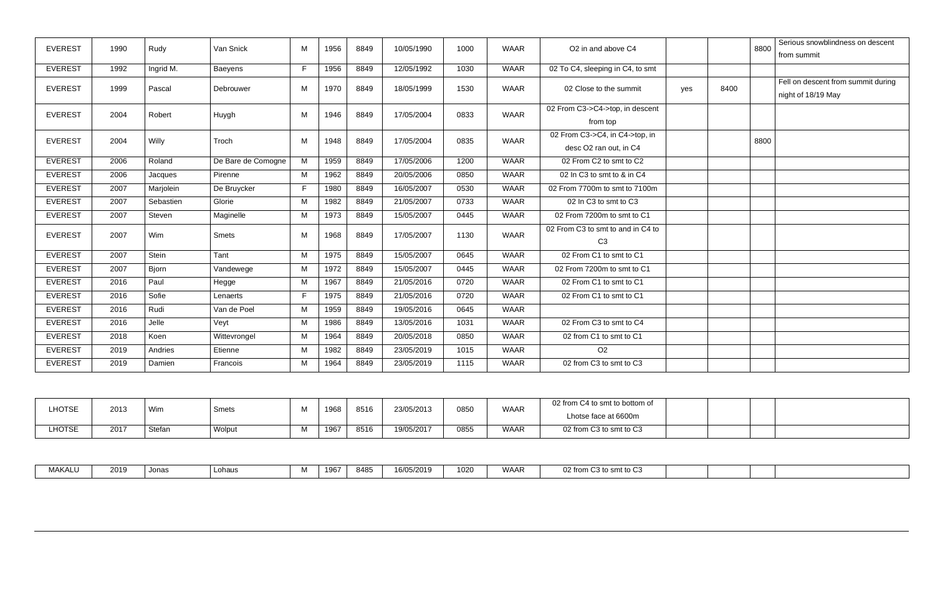| <b>EVEREST</b> | 1990 | Rudy         | Van Snick          | M  | 1956 | 8849 | 10/05/1990 | 1000 | <b>WAAR</b> | O2 in and above C4                                  |     |      | 8800 | Serious snowblindness on descent<br>from summit |
|----------------|------|--------------|--------------------|----|------|------|------------|------|-------------|-----------------------------------------------------|-----|------|------|-------------------------------------------------|
|                |      |              |                    |    |      |      |            |      |             |                                                     |     |      |      |                                                 |
| <b>EVEREST</b> | 1992 | Ingrid M.    | Baeyens            | F  | 1956 | 8849 | 12/05/1992 | 1030 | <b>WAAR</b> | 02 To C4, sleeping in C4, to smt                    |     |      |      |                                                 |
| <b>EVEREST</b> | 1999 | Pascal       |                    |    | 1970 |      |            | 1530 | <b>WAAR</b> | 02 Close to the summit                              |     | 8400 |      | Fell on descent from summit during              |
|                |      |              | Debrouwer          | M  |      | 8849 | 18/05/1999 |      |             |                                                     | yes |      |      | night of 18/19 May                              |
|                |      |              |                    |    |      |      |            |      |             | 02 From C3->C4->top, in descent                     |     |      |      |                                                 |
| <b>EVEREST</b> | 2004 | Robert       | Huygh              | M  | 1946 | 8849 | 17/05/2004 | 0833 | <b>WAAR</b> | from top                                            |     |      |      |                                                 |
| <b>EVEREST</b> | 2004 | Willy        | Troch              | M  | 1948 | 8849 | 17/05/2004 | 0835 | <b>WAAR</b> | 02 From C3->C4, in C4->top, in                      |     |      | 8800 |                                                 |
|                |      |              |                    |    |      |      |            |      |             | desc O2 ran out, in C4                              |     |      |      |                                                 |
| <b>EVEREST</b> | 2006 | Roland       | De Bare de Comogne | M  | 1959 | 8849 | 17/05/2006 | 1200 | <b>WAAR</b> | 02 From C2 to smt to C2                             |     |      |      |                                                 |
| <b>EVEREST</b> | 2006 | Jacques      | Pirenne            | M  | 1962 | 8849 | 20/05/2006 | 0850 | <b>WAAR</b> | 02 In C3 to smt to & in C4                          |     |      |      |                                                 |
| <b>EVEREST</b> | 2007 | Mariolein    | De Bruycker        | F. | 1980 | 8849 | 16/05/2007 | 0530 | <b>WAAR</b> | 02 From 7700m to smt to 7100m                       |     |      |      |                                                 |
| <b>EVEREST</b> | 2007 | Sebastien    | Glorie             | M  | 1982 | 8849 | 21/05/2007 | 0733 | <b>WAAR</b> | 02 In C3 to smt to C3                               |     |      |      |                                                 |
| <b>EVEREST</b> | 2007 | Steven       | Maginelle          | M  | 1973 | 8849 | 15/05/2007 | 0445 | <b>WAAR</b> | 02 From 7200m to smt to C1                          |     |      |      |                                                 |
| <b>EVEREST</b> | 2007 | Wim          | Smets              | м  | 1968 | 8849 | 17/05/2007 | 1130 | <b>WAAR</b> | 02 From C3 to smt to and in C4 to<br>C <sub>3</sub> |     |      |      |                                                 |
| <b>EVEREST</b> | 2007 | Stein        | Tant               | M  | 1975 | 8849 | 15/05/2007 | 0645 | <b>WAAR</b> | 02 From C1 to smt to C1                             |     |      |      |                                                 |
| <b>EVEREST</b> | 2007 | <b>Biorn</b> | Vandewege          | M  | 1972 | 8849 | 15/05/2007 | 0445 | <b>WAAR</b> | 02 From 7200m to smt to C1                          |     |      |      |                                                 |
| <b>EVEREST</b> | 2016 | Paul         | Hegge              | M  | 1967 | 8849 | 21/05/2016 | 0720 | <b>WAAR</b> | 02 From C1 to smt to C1                             |     |      |      |                                                 |
| <b>EVEREST</b> | 2016 | Sofie        | Lenaerts           | F. | 1975 | 8849 | 21/05/2016 | 0720 | <b>WAAR</b> | 02 From C1 to smt to C1                             |     |      |      |                                                 |
| <b>EVEREST</b> | 2016 | Rudi         | Van de Poel        | М  | 1959 | 8849 | 19/05/2016 | 0645 | <b>WAAR</b> |                                                     |     |      |      |                                                 |
| <b>EVEREST</b> | 2016 | Jelle        | Veyt               | M  | 1986 | 8849 | 13/05/2016 | 1031 | <b>WAAR</b> | 02 From C3 to smt to C4                             |     |      |      |                                                 |
| <b>EVEREST</b> | 2018 | Koen         | Wittevrongel       | M  | 1964 | 8849 | 20/05/2018 | 0850 | <b>WAAR</b> | 02 from C1 to smt to C1                             |     |      |      |                                                 |
| <b>EVEREST</b> | 2019 | Andries      | Etienne            | М  | 1982 | 8849 | 23/05/2019 | 1015 | <b>WAAR</b> | O <sub>2</sub>                                      |     |      |      |                                                 |
| <b>EVEREST</b> | 2019 | Damien       | Francois           | м  | 1964 | 8849 | 23/05/2019 | 1115 | <b>WAAR</b> | 02 from C3 to smt to C3                             |     |      |      |                                                 |

| LHOTSE | 2013 | Wim    | Smets  | <b>A</b> <i>i</i> | 1968 | 8516 | 23/05/2013 | 0850 | WAAR        | 02 from C4 to smt to bottom of<br>Lhotse face at 6600m |  |  |
|--------|------|--------|--------|-------------------|------|------|------------|------|-------------|--------------------------------------------------------|--|--|
| LHOTSE | 2017 | Stefan | Wolput |                   | 1967 | 8516 | 19/05/2017 | 0855 | <b>WAAR</b> | 02 from C3 to smt to C3                                |  |  |

| <b>MAI/ALI</b><br>71 AN ALU | 2019 | Jonas | Lohaus |  | 1967 | RARI<br>ט⊤י | 16/05/2019 | '020 | 311111<br><b>VVAAI</b> | 02 from C3 to smt to U <sub>V</sub> |  |  |  |  |
|-----------------------------|------|-------|--------|--|------|-------------|------------|------|------------------------|-------------------------------------|--|--|--|--|
|-----------------------------|------|-------|--------|--|------|-------------|------------|------|------------------------|-------------------------------------|--|--|--|--|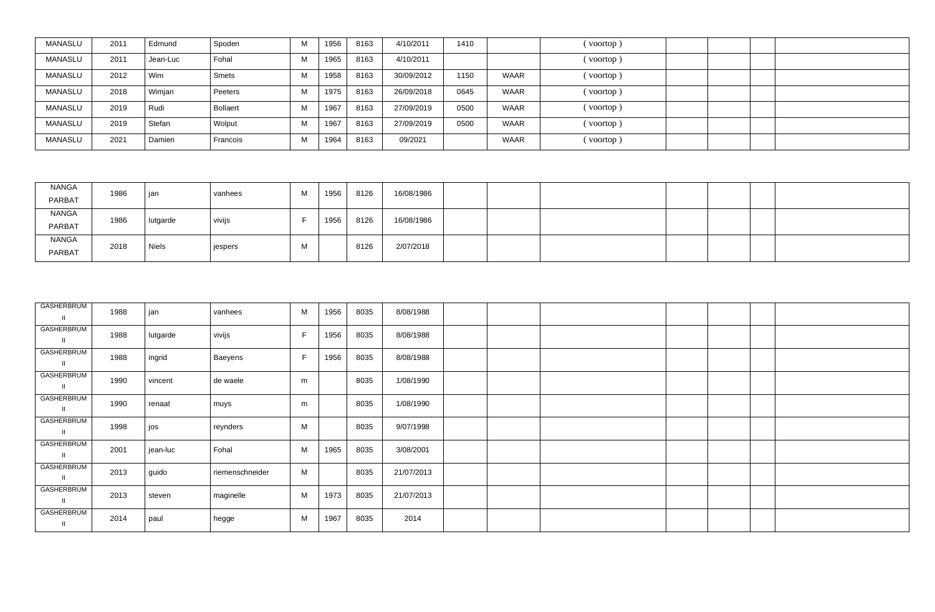| MANASLU | 2011 | Edmund   | Spoden   |              | 1956 | 8163 | 4/10/2011  | 1410 |             | (voortop) |  |  |
|---------|------|----------|----------|--------------|------|------|------------|------|-------------|-----------|--|--|
| MANASLU | 2011 | Jean-Luc | Fohal    |              | 1965 | 8163 | 4/10/2011  |      |             | (voortop) |  |  |
| MANASLU | 2012 | Wim      | Smets    |              | 1958 | 8163 | 30/09/2012 | 1150 | <b>WAAR</b> | (voortop) |  |  |
| MANASLU | 2018 | Wimjan   | Peeters  |              | 1975 | 8163 | 26/09/2018 | 0645 | <b>WAAR</b> | (voortop) |  |  |
| MANASLU | 2019 | Rudi     | Bollaert |              | 1967 | 8163 | 27/09/2019 | 0500 | <b>WAAR</b> | (voortop) |  |  |
| MANASLU | 2019 | Stefan   | Wolput   | $\mathbf{N}$ | 1967 | 8163 | 27/09/2019 | 0500 | <b>WAAR</b> | (voortop) |  |  |
| MANASLU | 2021 | Damien   | Francois |              | 1964 | 8163 | 09/2021    |      | <b>WAAR</b> | (voortop) |  |  |

| NANGA<br>PARBAT        | 1986 | jan          | vanhees | M | 1956 | 8126 | 16/08/1986 |  |  |  |
|------------------------|------|--------------|---------|---|------|------|------------|--|--|--|
| NANGA<br>PARBAT        | 1986 | lutgarde     | vivijs  |   | 1956 | 8126 | 16/08/1986 |  |  |  |
| <b>NANGA</b><br>PARBAT | 2018 | <b>Niels</b> | jespers | M |      | 8126 | 2/07/2018  |  |  |  |

| GASHERBRUM<br>$\mathbf{I}$ | 1988 | jan      | vanhees         | M  | 1956 | 8035 | 8/08/1988  |  |  |  |
|----------------------------|------|----------|-----------------|----|------|------|------------|--|--|--|
| GASHERBRUM<br>Ш            | 1988 | lutgarde | vivijs          | F  | 1956 | 8035 | 8/08/1988  |  |  |  |
| GASHERBRUM<br>$\mathbf{I}$ | 1988 | ingrid   | Baeyens         | F. | 1956 | 8035 | 8/08/1988  |  |  |  |
| GASHERBRUM<br>Ш            | 1990 | vincent  | de waele        | m  |      | 8035 | 1/08/1990  |  |  |  |
| GASHERBRUM<br>$\mathbf{I}$ | 1990 | renaat   | muys            | m  |      | 8035 | 1/08/1990  |  |  |  |
| GASHERBRUM<br>$\mathbf{I}$ | 1998 | jos      | reynders        | М  |      | 8035 | 9/07/1998  |  |  |  |
| GASHERBRUM<br>$\mathbf{I}$ | 2001 | jean-luc | Fohal           | М  | 1965 | 8035 | 3/08/2001  |  |  |  |
| GASHERBRUM<br>$\mathbf{I}$ | 2013 | guido    | riemenschneider | M  |      | 8035 | 21/07/2013 |  |  |  |
| GASHERBRUM<br>$\mathbf{I}$ | 2013 | steven   | maginelle       | М  | 1973 | 8035 | 21/07/2013 |  |  |  |
| GASHERBRUM                 | 2014 | paul     | hegge           | М  | 1967 | 8035 | 2014       |  |  |  |